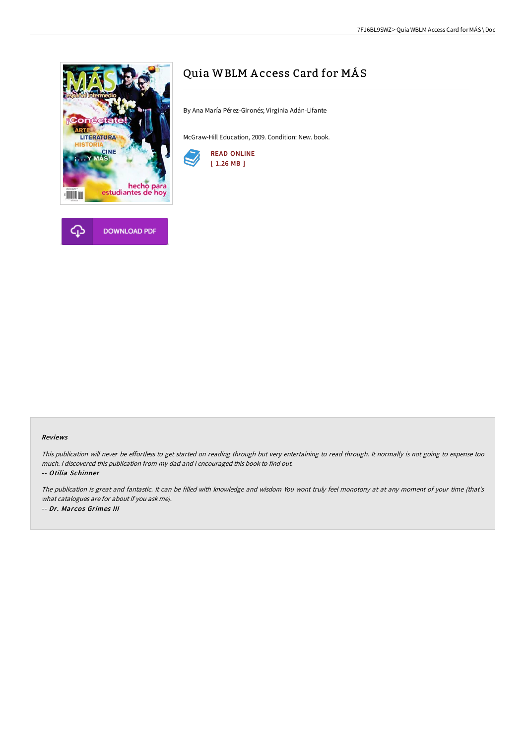



# Quia WBLM Access Card for MÁS

By Ana María Pérez-Gironés; Virginia Adán-Lifante

McGraw-Hill Education, 2009. Condition: New. book.



### Reviews

This publication will never be effortless to get started on reading through but very entertaining to read through. It normally is not going to expense too much. <sup>I</sup> discovered this publication from my dad and i encouraged this book to find out.

-- Otilia Schinner

The publication is great and fantastic. It can be filled with knowledge and wisdom You wont truly feel monotony at at any moment of your time (that's what catalogues are for about if you ask me). -- Dr. Marcos Grimes III